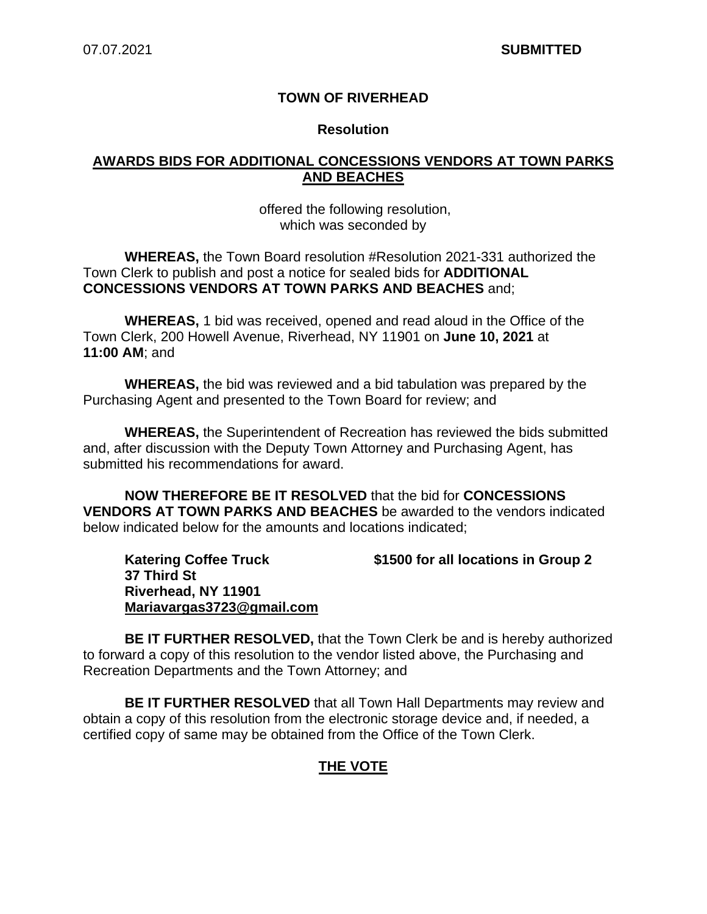## **TOWN OF RIVERHEAD**

#### **Resolution**

## **AWARDS BIDS FOR ADDITIONAL CONCESSIONS VENDORS AT TOWN PARKS AND BEACHES**

#### offered the following resolution, which was seconded by

**WHEREAS,** the Town Board resolution #Resolution 2021-331 authorized the Town Clerk to publish and post a notice for sealed bids for **ADDITIONAL CONCESSIONS VENDORS AT TOWN PARKS AND BEACHES** and;

**WHEREAS,** 1 bid was received, opened and read aloud in the Office of the Town Clerk, 200 Howell Avenue, Riverhead, NY 11901 on **June 10, 2021** at **11:00 AM**; and

**WHEREAS,** the bid was reviewed and a bid tabulation was prepared by the Purchasing Agent and presented to the Town Board for review; and

**WHEREAS,** the Superintendent of Recreation has reviewed the bids submitted and, after discussion with the Deputy Town Attorney and Purchasing Agent, has submitted his recommendations for award.

**NOW THEREFORE BE IT RESOLVED** that the bid for **CONCESSIONS VENDORS AT TOWN PARKS AND BEACHES** be awarded to the vendors indicated below indicated below for the amounts and locations indicated;

**37 Third St Riverhead, NY 11901 Mariavargas3723@gmail.com**

**Katering Coffee Truck \$1500 for all locations in Group 2**

**BE IT FURTHER RESOLVED,** that the Town Clerk be and is hereby authorized to forward a copy of this resolution to the vendor listed above, the Purchasing and Recreation Departments and the Town Attorney; and

**BE IT FURTHER RESOLVED** that all Town Hall Departments may review and obtain a copy of this resolution from the electronic storage device and, if needed, a certified copy of same may be obtained from the Office of the Town Clerk.

# **THE VOTE**